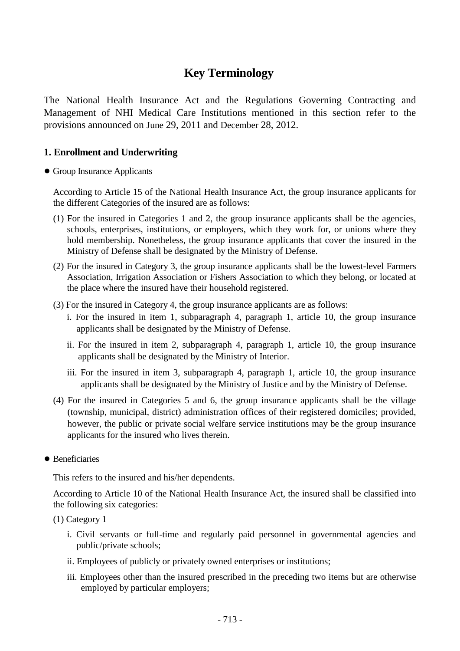## **Key Terminology**

The National Health Insurance Act and the Regulations Governing Contracting and Management of NHI Medical Care Institutions mentioned in this section refer to the provisions announced on June 29, 2011 and December 28, 2012.

#### **1. Enrollment and Underwriting**

#### ● Group Insurance Applicants

According to Article 15 of the National Health Insurance Act, the group insurance applicants for the different Categories of the insured are as follows:

- (1) For the insured in Categories 1 and 2, the group insurance applicants shall be the agencies, schools, enterprises, institutions, or employers, which they work for, or unions where they hold membership. Nonetheless, the group insurance applicants that cover the insured in the Ministry of Defense shall be designated by the Ministry of Defense.
- (2) For the insured in Category 3, the group insurance applicants shall be the lowest-level Farmers Association, Irrigation Association or Fishers Association to which they belong, or located at the place where the insured have their household registered.
- (3) For the insured in Category 4, the group insurance applicants are as follows:
	- i. For the insured in item 1, subparagraph 4, paragraph 1, article 10, the group insurance applicants shall be designated by the Ministry of Defense.
	- ii. For the insured in item 2, subparagraph 4, paragraph 1, article 10, the group insurance applicants shall be designated by the Ministry of Interior.
	- iii. For the insured in item 3, subparagraph 4, paragraph 1, article 10, the group insurance applicants shall be designated by the Ministry of Justice and by the Ministry of Defense.
- (4) For the insured in Categories 5 and 6, the group insurance applicants shall be the village (township, municipal, district) administration offices of their registered domiciles; provided, however, the public or private social welfare service institutions may be the group insurance applicants for the insured who lives therein.
- Beneficiaries

This refers to the insured and his/her dependents.

According to Article 10 of the National Health Insurance Act, the insured shall be classified into the following six categories:

- (1) Category 1
	- i. Civil servants or full-time and regularly paid personnel in governmental agencies and public/private schools;
	- ii. Employees of publicly or privately owned enterprises or institutions;
	- iii. Employees other than the insured prescribed in the preceding two items but are otherwise employed by particular employers;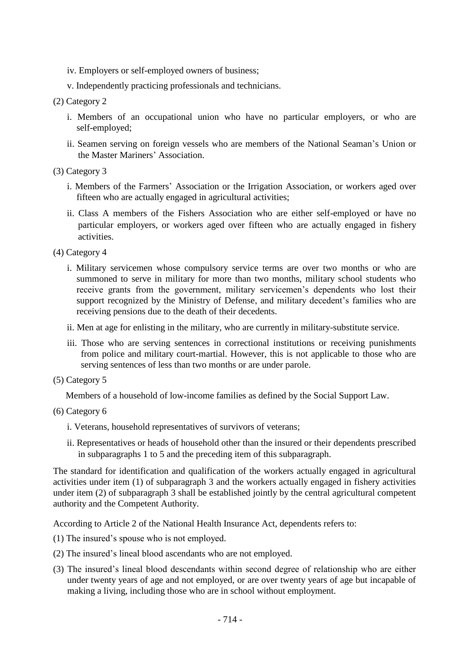- iv. Employers or self-employed owners of business;
- v. Independently practicing professionals and technicians.

#### (2) Category 2

- i. Members of an occupational union who have no particular employers, or who are self-employed;
- ii. Seamen serving on foreign vessels who are members of the National Seaman's Union or the Master Mariners' Association.
- (3) Category 3
	- i. Members of the Farmers' Association or the Irrigation Association, or workers aged over fifteen who are actually engaged in agricultural activities;
	- ii. Class A members of the Fishers Association who are either self-employed or have no particular employers, or workers aged over fifteen who are actually engaged in fishery activities.

(4) Category 4

- i. Military servicemen whose compulsory service terms are over two months or who are summoned to serve in military for more than two months, military school students who receive grants from the government, military servicemen's dependents who lost their support recognized by the Ministry of Defense, and military decedent's families who are receiving pensions due to the death of their decedents.
- ii. Men at age for enlisting in the military, who are currently in military-substitute service.
- iii. Those who are serving sentences in correctional institutions or receiving punishments from police and military court-martial. However, this is not applicable to those who are serving sentences of less than two months or are under parole.
- (5) Category 5

Members of a household of low-income families as defined by the Social Support Law.

#### (6) Category 6

- i. Veterans, household representatives of survivors of veterans;
- ii. Representatives or heads of household other than the insured or their dependents prescribed in subparagraphs 1 to 5 and the preceding item of this subparagraph.

The standard for identification and qualification of the workers actually engaged in agricultural activities under item (1) of subparagraph 3 and the workers actually engaged in fishery activities under item (2) of subparagraph 3 shall be established jointly by the central agricultural competent authority and the Competent Authority.

According to Article 2 of the National Health Insurance Act, dependents refers to:

- (1) The insured's spouse who is not employed.
- (2) The insured's lineal blood ascendants who are not employed.
- (3) The insured's lineal blood descendants within second degree of relationship who are either under twenty years of age and not employed, or are over twenty years of age but incapable of making a living, including those who are in school without employment.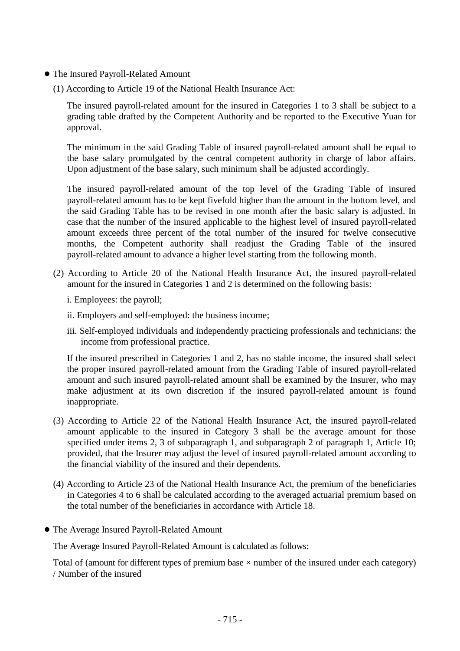- The Insured Payroll-Related Amount
	- (1) According to Article 19 of the National Health Insurance Act:

The insured payroll-related amount for the insured in Categories 1 to 3 shall be subject to a grading table drafted by the Competent Authority and be reported to the Executive Yuan for approval.

The minimum in the said Grading Table of insured payroll-related amount shall be equal to the base salary promulgated by the central competent authority in charge of labor affairs. Upon adjustment of the base salary, such minimum shall be adjusted accordingly.

The insured payroll-related amount of the top level of the Grading Table of insured payroll-related amount has to be kept fivefold higher than the amount in the bottom level, and the said Grading Table has to be revised in one month after the basic salary is adjusted. In case that the number of the insured applicable to the highest level of insured payroll-related amount exceeds three percent of the total number of the insured for twelve consecutive months, the Competent authority shall readjust the Grading Table of the insured payroll-related amount to advance a higher level starting from the following month.

- (2) According to Article 20 of the National Health Insurance Act, the insured payroll-related amount for the insured in Categories 1 and 2 is determined on the following basis:
	- i. Employees: the payroll;
	- ii. Employers and self-employed: the business income;
	- iii. Self-employed individuals and independently practicing professionals and technicians: the income from professional practice.

If the insured prescribed in Categories 1 and 2, has no stable income, the insured shall select the proper insured payroll-related amount from the Grading Table of insured payroll-related amount and such insured payroll-related amount shall be examined by the Insurer, who may make adjustment at its own discretion if the insured payroll-related amount is found inappropriate.

- (3) According to Article 22 of the National Health Insurance Act, the insured payroll-related amount applicable to the insured in Category 3 shall be the average amount for those specified under items 2, 3 of subparagraph 1, and subparagraph 2 of paragraph 1, Article 10; provided, that the Insurer may adjust the level of insured payroll-related amount according to the financial viability of the insured and their dependents.
- (4) According to Article 23 of the National Health Insurance Act, the premium of the beneficiaries in Categories 4 to 6 shall be calculated according to the averaged actuarial premium based on the total number of the beneficiaries in accordance with Article 18.
- The Average Insured Payroll-Related Amount

The Average Insured Payroll-Related Amount is calculated as follows:

Total of (amount for different types of premium base  $\times$  number of the insured under each category) / Number of the insured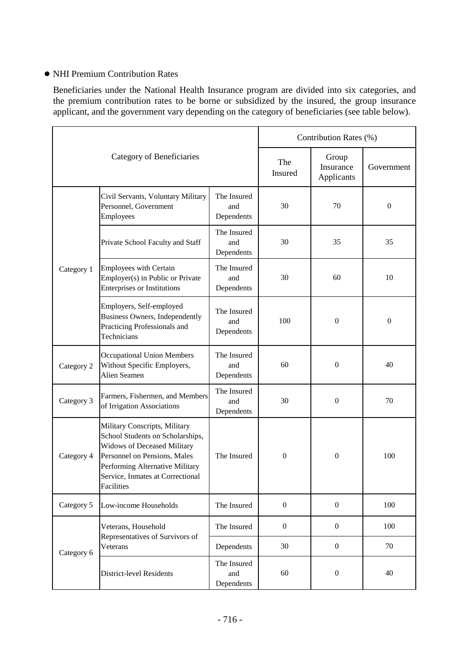#### ● NHI Premium Contribution Rates

Beneficiaries under the National Health Insurance program are divided into six categories, and the premium contribution rates to be borne or subsidized by the insured, the group insurance applicant, and the government vary depending on the category of beneficiaries (see table below).

| Category of Beneficiaries |                                                                                                                                                                                                                              |                                  | Contribution Rates (%) |                                  |                  |
|---------------------------|------------------------------------------------------------------------------------------------------------------------------------------------------------------------------------------------------------------------------|----------------------------------|------------------------|----------------------------------|------------------|
|                           |                                                                                                                                                                                                                              |                                  | The<br>Insured         | Group<br>Insurance<br>Applicants | Government       |
| Category 1                | Civil Servants, Voluntary Military<br>Personnel, Government<br>Employees                                                                                                                                                     | The Insured<br>and<br>Dependents | 30                     | 70                               | $\boldsymbol{0}$ |
|                           | Private School Faculty and Staff                                                                                                                                                                                             | The Insured<br>and<br>Dependents | 30                     | 35                               | 35               |
|                           | <b>Employees with Certain</b><br>Employer(s) in Public or Private<br><b>Enterprises or Institutions</b>                                                                                                                      | The Insured<br>and<br>Dependents | 30                     | 60                               | 10               |
|                           | Employers, Self-employed<br><b>Business Owners, Independently</b><br>Practicing Professionals and<br>Technicians                                                                                                             | The Insured<br>and<br>Dependents | 100                    | $\boldsymbol{0}$                 | $\boldsymbol{0}$ |
| Category 2                | <b>Occupational Union Members</b><br>Without Specific Employers,<br>Alien Seamen                                                                                                                                             | The Insured<br>and<br>Dependents | 60                     | $\boldsymbol{0}$                 | 40               |
| Category 3                | Farmers, Fishermen, and Members<br>of Irrigation Associations                                                                                                                                                                | The Insured<br>and<br>Dependents | 30                     | $\mathbf{0}$                     | 70               |
| Category 4                | Military Conscripts, Military<br>School Students on Scholarships,<br><b>Widows of Deceased Military</b><br>Personnel on Pensions, Males<br>Performing Alternative Military<br>Service, Inmates at Correctional<br>Facilities | The Insured                      | $\boldsymbol{0}$       | $\boldsymbol{0}$                 | 100              |
| Category 5                | Low-income Households                                                                                                                                                                                                        | The Insured                      | $\mathbf{0}$           | $\boldsymbol{0}$                 | 100              |
| Category 6                | Veterans, Household<br>Representatives of Survivors of<br>Veterans                                                                                                                                                           | The Insured                      | $\mathbf{0}$           | $\boldsymbol{0}$                 | 100              |
|                           |                                                                                                                                                                                                                              | Dependents                       | 30                     | $\boldsymbol{0}$                 | 70               |
|                           | <b>District-level Residents</b>                                                                                                                                                                                              | The Insured<br>and<br>Dependents | 60                     | $\boldsymbol{0}$                 | 40               |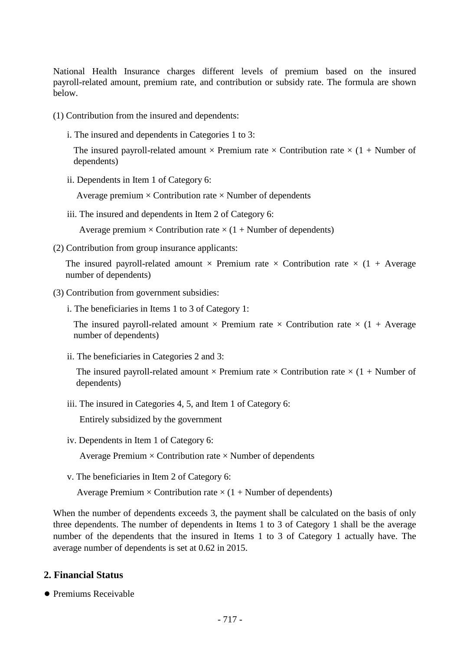National Health Insurance charges different levels of premium based on the insured payroll-related amount, premium rate, and contribution or subsidy rate. The formula are shown below.

(1) Contribution from the insured and dependents:

i. The insured and dependents in Categories 1 to 3:

The insured payroll-related amount  $\times$  Premium rate  $\times$  Contribution rate  $\times$  (1 + Number of dependents)

ii. Dependents in Item 1 of Category 6:

Average premium  $\times$  Contribution rate  $\times$  Number of dependents

iii. The insured and dependents in Item 2 of Category 6:

Average premium  $\times$  Contribution rate  $\times$  (1 + Number of dependents)

(2) Contribution from group insurance applicants:

The insured payroll-related amount  $\times$  Premium rate  $\times$  Contribution rate  $\times$  (1 + Average number of dependents)

- (3) Contribution from government subsidies:
	- i. The beneficiaries in Items 1 to 3 of Category 1:

The insured payroll-related amount  $\times$  Premium rate  $\times$  Contribution rate  $\times$  (1 + Average number of dependents)

ii. The beneficiaries in Categories 2 and 3:

The insured payroll-related amount  $\times$  Premium rate  $\times$  Contribution rate  $\times$  (1 + Number of dependents)

iii. The insured in Categories 4, 5, and Item 1 of Category 6:

Entirely subsidized by the government

iv. Dependents in Item 1 of Category 6:

Average Premium  $\times$  Contribution rate  $\times$  Number of dependents

v. The beneficiaries in Item 2 of Category 6:

Average Premium  $\times$  Contribution rate  $\times$  (1 + Number of dependents)

When the number of dependents exceeds 3, the payment shall be calculated on the basis of only three dependents. The number of dependents in Items 1 to 3 of Category 1 shall be the average number of the dependents that the insured in Items 1 to 3 of Category 1 actually have. The average number of dependents is set at 0.62 in 2015.

## **2. Financial Status**

● Premiums Receivable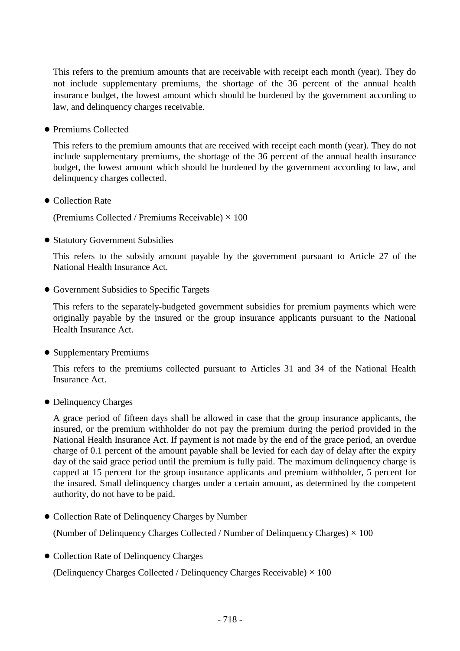This refers to the premium amounts that are receivable with receipt each month (year). They do not include supplementary premiums, the shortage of the 36 percent of the annual health insurance budget, the lowest amount which should be burdened by the government according to law, and delinquency charges receivable.

● Premiums Collected

This refers to the premium amounts that are received with receipt each month (year). They do not include supplementary premiums, the shortage of the 36 percent of the annual health insurance budget, the lowest amount which should be burdened by the government according to law, and delinquency charges collected.

● Collection Rate

(Premiums Collected / Premiums Receivable)  $\times$  100

● Statutory Government Subsidies

This refers to the subsidy amount payable by the government pursuant to Article 27 of the National Health Insurance Act.

● Government Subsidies to Specific Targets

This refers to the separately-budgeted government subsidies for premium payments which were originally payable by the insured or the group insurance applicants pursuant to the National Health Insurance Act.

● Supplementary Premiums

This refers to the premiums collected pursuant to Articles 31 and 34 of the National Health Insurance Act.

● Delinquency Charges

A grace period of fifteen days shall be allowed in case that the group insurance applicants, the insured, or the premium withholder do not pay the premium during the period provided in the National Health Insurance Act. If payment is not made by the end of the grace period, an overdue charge of 0.1 percent of the amount payable shall be levied for each day of delay after the expiry day of the said grace period until the premium is fully paid. The maximum delinquency charge is capped at 15 percent for the group insurance applicants and premium withholder, 5 percent for the insured. Small delinquency charges under a certain amount, as determined by the competent authority, do not have to be paid.

● Collection Rate of Delinquency Charges by Number

(Number of Delinquency Charges Collected / Number of Delinquency Charges)  $\times$  100

● Collection Rate of Delinquency Charges

(Delinquency Charges Collected / Delinquency Charges Receivable)  $\times$  100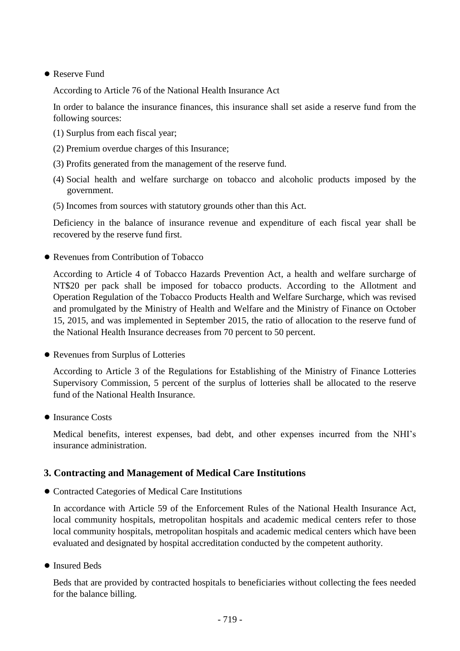#### ● Reserve Fund

According to Article 76 of the National Health Insurance Act

In order to balance the insurance finances, this insurance shall set aside a reserve fund from the following sources:

- (1) Surplus from each fiscal year;
- (2) Premium overdue charges of this Insurance;
- (3) Profits generated from the management of the reserve fund.
- (4) Social health and welfare surcharge on tobacco and alcoholic products imposed by the government.
- (5) Incomes from sources with statutory grounds other than this Act.

Deficiency in the balance of insurance revenue and expenditure of each fiscal year shall be recovered by the reserve fund first.

● Revenues from Contribution of Tobacco

According to Article 4 of Tobacco Hazards Prevention Act, a health and welfare surcharge of NT\$20 per pack shall be imposed for tobacco products. According to the Allotment and Operation Regulation of the Tobacco Products Health and Welfare Surcharge, which was revised and promulgated by the Ministry of Health and Welfare and the Ministry of Finance on October 15, 2015, and was implemented in September 2015, the ratio of allocation to the reserve fund of the National Health Insurance decreases from 70 percent to 50 percent.

● Revenues from Surplus of Lotteries

According to Article 3 of the Regulations for Establishing of the Ministry of Finance Lotteries Supervisory Commission, 5 percent of the surplus of lotteries shall be allocated to the reserve fund of the National Health Insurance.

● Insurance Costs

Medical benefits, interest expenses, bad debt, and other expenses incurred from the NHI's insurance administration.

## **3. Contracting and Management of Medical Care Institutions**

● Contracted Categories of Medical Care Institutions

In accordance with Article 59 of the Enforcement Rules of the National Health Insurance Act, local community hospitals, metropolitan hospitals and academic medical centers refer to those local community hospitals, metropolitan hospitals and academic medical centers which have been evaluated and designated by hospital accreditation conducted by the competent authority.

● Insured Beds

Beds that are provided by contracted hospitals to beneficiaries without collecting the fees needed for the balance billing.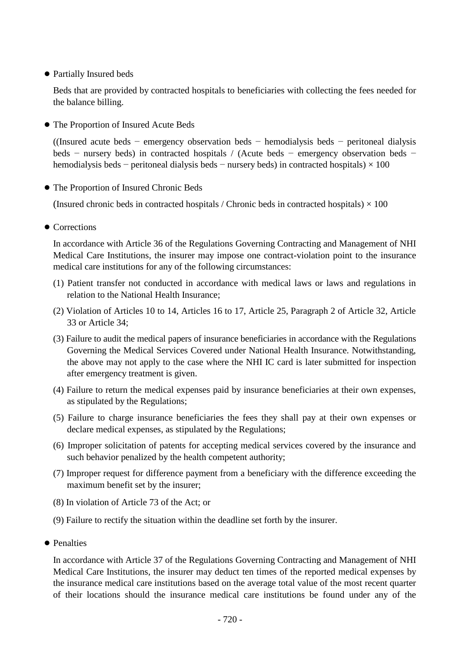● Partially Insured beds

Beds that are provided by contracted hospitals to beneficiaries with collecting the fees needed for the balance billing.

● The Proportion of Insured Acute Beds

((Insured acute beds − emergency observation beds − hemodialysis beds − peritoneal dialysis beds − nursery beds) in contracted hospitals / (Acute beds − emergency observation beds − hemodialysis beds – peritoneal dialysis beds – nursery beds) in contracted hospitals)  $\times$  100

● The Proportion of Insured Chronic Beds

(Insured chronic beds in contracted hospitals / Chronic beds in contracted hospitals)  $\times$  100

● Corrections

In accordance with Article 36 of the Regulations Governing Contracting and Management of NHI Medical Care Institutions, the insurer may impose one contract-violation point to the insurance medical care institutions for any of the following circumstances:

- (1) Patient transfer not conducted in accordance with medical laws or laws and regulations in relation to the National Health Insurance;
- (2) Violation of Articles 10 to 14, Articles 16 to 17, Article 25, Paragraph 2 of Article 32, Article 33 or Article 34;
- (3) Failure to audit the medical papers of insurance beneficiaries in accordance with the Regulations Governing the Medical Services Covered under National Health Insurance. Notwithstanding, the above may not apply to the case where the NHI IC card is later submitted for inspection after emergency treatment is given.
- (4) Failure to return the medical expenses paid by insurance beneficiaries at their own expenses, as stipulated by the Regulations;
- (5) Failure to charge insurance beneficiaries the fees they shall pay at their own expenses or declare medical expenses, as stipulated by the Regulations;
- (6) Improper solicitation of patents for accepting medical services covered by the insurance and such behavior penalized by the health competent authority;
- (7) Improper request for difference payment from a beneficiary with the difference exceeding the maximum benefit set by the insurer;
- (8) In violation of Article 73 of the Act; or
- (9) Failure to rectify the situation within the deadline set forth by the insurer.
- Penalties

In accordance with Article 37 of the Regulations Governing Contracting and Management of NHI Medical Care Institutions, the insurer may deduct ten times of the reported medical expenses by the insurance medical care institutions based on the average total value of the most recent quarter of their locations should the insurance medical care institutions be found under any of the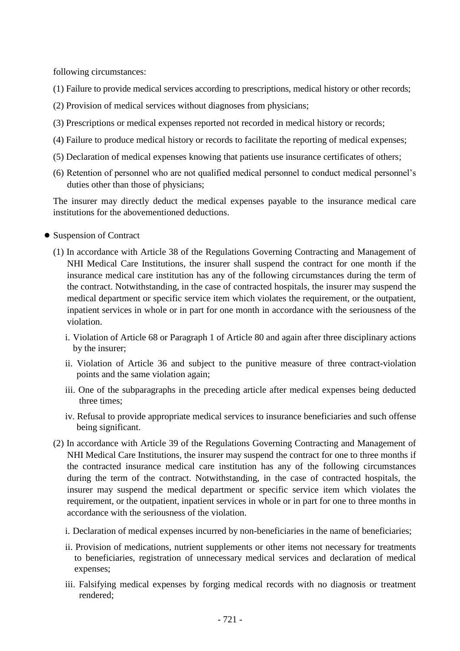following circumstances:

- (1) Failure to provide medical services according to prescriptions, medical history or other records;
- (2) Provision of medical services without diagnoses from physicians;
- (3) Prescriptions or medical expenses reported not recorded in medical history or records;
- (4) Failure to produce medical history or records to facilitate the reporting of medical expenses;
- (5) Declaration of medical expenses knowing that patients use insurance certificates of others;
- (6) Retention of personnel who are not qualified medical personnel to conduct medical personnel's duties other than those of physicians;

The insurer may directly deduct the medical expenses payable to the insurance medical care institutions for the abovementioned deductions.

- Suspension of Contract
	- (1) In accordance with Article 38 of the Regulations Governing Contracting and Management of NHI Medical Care Institutions, the insurer shall suspend the contract for one month if the insurance medical care institution has any of the following circumstances during the term of the contract. Notwithstanding, in the case of contracted hospitals, the insurer may suspend the medical department or specific service item which violates the requirement, or the outpatient, inpatient services in whole or in part for one month in accordance with the seriousness of the violation.
		- i. Violation of Article 68 or Paragraph 1 of Article 80 and again after three disciplinary actions by the insurer;
		- ii. Violation of Article 36 and subject to the punitive measure of three contract-violation points and the same violation again;
		- iii. One of the subparagraphs in the preceding article after medical expenses being deducted three times;
		- iv. Refusal to provide appropriate medical services to insurance beneficiaries and such offense being significant.
	- (2) In accordance with Article 39 of the Regulations Governing Contracting and Management of NHI Medical Care Institutions, the insurer may suspend the contract for one to three months if the contracted insurance medical care institution has any of the following circumstances during the term of the contract. Notwithstanding, in the case of contracted hospitals, the insurer may suspend the medical department or specific service item which violates the requirement, or the outpatient, inpatient services in whole or in part for one to three months in accordance with the seriousness of the violation.
		- i. Declaration of medical expenses incurred by non-beneficiaries in the name of beneficiaries;
		- ii. Provision of medications, nutrient supplements or other items not necessary for treatments to beneficiaries, registration of unnecessary medical services and declaration of medical expenses;
		- iii. Falsifying medical expenses by forging medical records with no diagnosis or treatment rendered;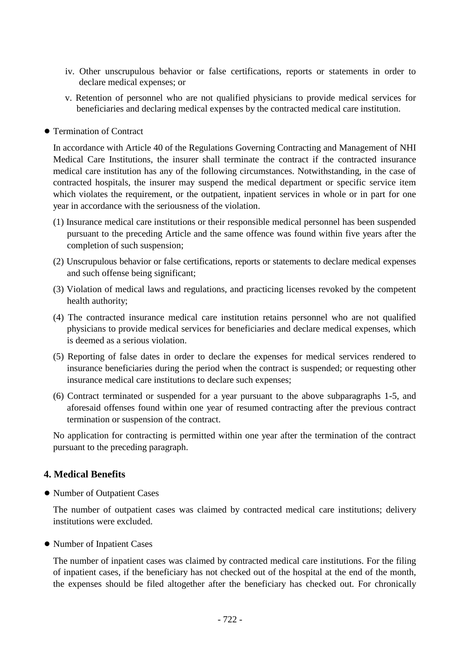- iv. Other unscrupulous behavior or false certifications, reports or statements in order to declare medical expenses; or
- v. Retention of personnel who are not qualified physicians to provide medical services for beneficiaries and declaring medical expenses by the contracted medical care institution.
- Termination of Contract

In accordance with Article 40 of the Regulations Governing Contracting and Management of NHI Medical Care Institutions, the insurer shall terminate the contract if the contracted insurance medical care institution has any of the following circumstances. Notwithstanding, in the case of contracted hospitals, the insurer may suspend the medical department or specific service item which violates the requirement, or the outpatient, inpatient services in whole or in part for one year in accordance with the seriousness of the violation.

- (1) Insurance medical care institutions or their responsible medical personnel has been suspended pursuant to the preceding Article and the same offence was found within five years after the completion of such suspension;
- (2) Unscrupulous behavior or false certifications, reports or statements to declare medical expenses and such offense being significant;
- (3) Violation of medical laws and regulations, and practicing licenses revoked by the competent health authority;
- (4) The contracted insurance medical care institution retains personnel who are not qualified physicians to provide medical services for beneficiaries and declare medical expenses, which is deemed as a serious violation.
- (5) Reporting of false dates in order to declare the expenses for medical services rendered to insurance beneficiaries during the period when the contract is suspended; or requesting other insurance medical care institutions to declare such expenses;
- (6) Contract terminated or suspended for a year pursuant to the above subparagraphs 1-5, and aforesaid offenses found within one year of resumed contracting after the previous contract termination or suspension of the contract.

No application for contracting is permitted within one year after the termination of the contract pursuant to the preceding paragraph.

## **4. Medical Benefits**

● Number of Outpatient Cases

The number of outpatient cases was claimed by contracted medical care institutions; delivery institutions were excluded.

● Number of Inpatient Cases

The number of inpatient cases was claimed by contracted medical care institutions. For the filing of inpatient cases, if the beneficiary has not checked out of the hospital at the end of the month, the expenses should be filed altogether after the beneficiary has checked out. For chronically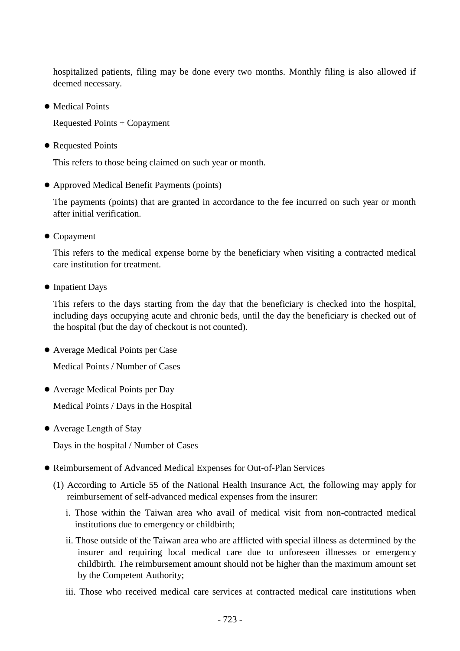hospitalized patients, filing may be done every two months. Monthly filing is also allowed if deemed necessary.

● Medical Points

Requested Points + Copayment

● Requested Points

This refers to those being claimed on such year or month.

● Approved Medical Benefit Payments (points)

The payments (points) that are granted in accordance to the fee incurred on such year or month after initial verification.

● Copayment

This refers to the medical expense borne by the beneficiary when visiting a contracted medical care institution for treatment.

● Inpatient Days

This refers to the days starting from the day that the beneficiary is checked into the hospital, including days occupying acute and chronic beds, until the day the beneficiary is checked out of the hospital (but the day of checkout is not counted).

● Average Medical Points per Case

Medical Points / Number of Cases

● Average Medical Points per Day

Medical Points / Days in the Hospital

● Average Length of Stay

Days in the hospital / Number of Cases

- Reimbursement of Advanced Medical Expenses for Out-of-Plan Services
	- (1) According to Article 55 of the National Health Insurance Act, the following may apply for reimbursement of self-advanced medical expenses from the insurer:
		- i. Those within the Taiwan area who avail of medical visit from non-contracted medical institutions due to emergency or childbirth;
		- ii. Those outside of the Taiwan area who are afflicted with special illness as determined by the insurer and requiring local medical care due to unforeseen illnesses or emergency childbirth. The reimbursement amount should not be higher than the maximum amount set by the Competent Authority;
		- iii. Those who received medical care services at contracted medical care institutions when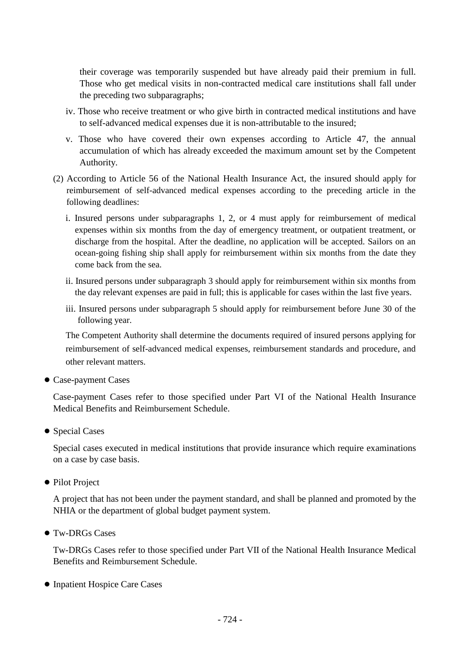their coverage was temporarily suspended but have already paid their premium in full. Those who get medical visits in non-contracted medical care institutions shall fall under the preceding two subparagraphs;

- iv. Those who receive treatment or who give birth in contracted medical institutions and have to self-advanced medical expenses due it is non-attributable to the insured;
- v. Those who have covered their own expenses according to Article 47, the annual accumulation of which has already exceeded the maximum amount set by the Competent Authority.
- (2) According to Article 56 of the National Health Insurance Act, the insured should apply for reimbursement of self-advanced medical expenses according to the preceding article in the following deadlines:
	- i. Insured persons under subparagraphs 1, 2, or 4 must apply for reimbursement of medical expenses within six months from the day of emergency treatment, or outpatient treatment, or discharge from the hospital. After the deadline, no application will be accepted. Sailors on an ocean-going fishing ship shall apply for reimbursement within six months from the date they come back from the sea.
	- ii. Insured persons under subparagraph 3 should apply for reimbursement within six months from the day relevant expenses are paid in full; this is applicable for cases within the last five years.
	- iii. Insured persons under subparagraph 5 should apply for reimbursement before June 30 of the following year.

The Competent Authority shall determine the documents required of insured persons applying for reimbursement of self-advanced medical expenses, reimbursement standards and procedure, and other relevant matters.

● Case-payment Cases

Case-payment Cases refer to those specified under Part VI of the National Health Insurance Medical Benefits and Reimbursement Schedule.

● Special Cases

Special cases executed in medical institutions that provide insurance which require examinations on a case by case basis.

● Pilot Project

A project that has not been under the payment standard, and shall be planned and promoted by the NHIA or the department of global budget payment system.

● Tw-DRGs Cases

Tw-DRGs Cases refer to those specified under Part VII of the National Health Insurance Medical Benefits and Reimbursement Schedule.

● Inpatient Hospice Care Cases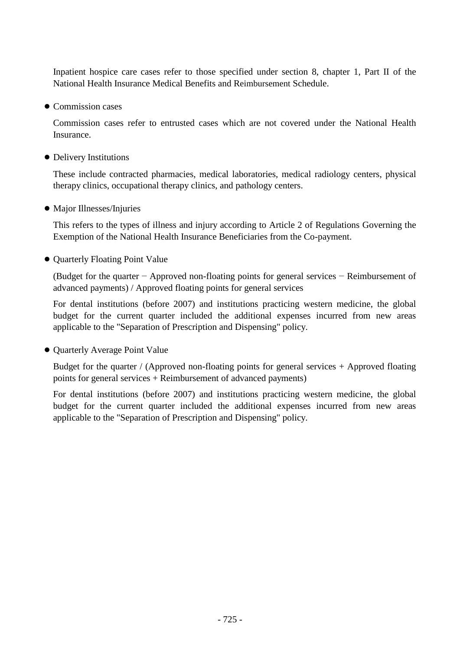Inpatient hospice care cases refer to those specified under section 8, chapter 1, Part II of the National Health Insurance Medical Benefits and Reimbursement Schedule.

● Commission cases

Commission cases refer to entrusted cases which are not covered under the National Health Insurance.

● Delivery Institutions

These include contracted pharmacies, medical laboratories, medical radiology centers, physical therapy clinics, occupational therapy clinics, and pathology centers.

● Major Illnesses/Injuries

This refers to the types of illness and injury according to Article 2 of Regulations Governing the Exemption of the National Health Insurance Beneficiaries from the Co-payment.

● Quarterly Floating Point Value

(Budget for the quarter − Approved non-floating points for general services − Reimbursement of advanced payments) / Approved floating points for general services

For dental institutions (before 2007) and institutions practicing western medicine, the global budget for the current quarter included the additional expenses incurred from new areas applicable to the "Separation of Prescription and Dispensing" policy.

● Quarterly Average Point Value

Budget for the quarter / (Approved non-floating points for general services + Approved floating points for general services + Reimbursement of advanced payments)

For dental institutions (before 2007) and institutions practicing western medicine, the global budget for the current quarter included the additional expenses incurred from new areas applicable to the "Separation of Prescription and Dispensing" policy.